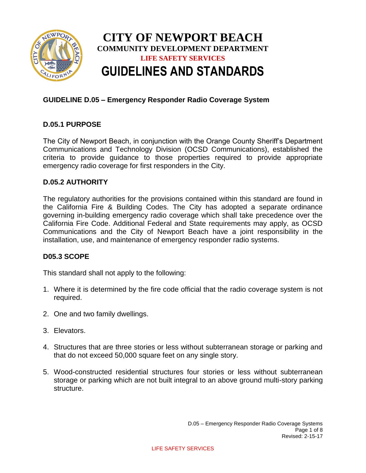

# **CITY OF NEWPORT BEACH COMMUNITY DEVELOPMENT DEPARTMENT LIFE SAFETY SERVICES GUIDELINES AND STANDARDS**

# **GUIDELINE D.05 – Emergency Responder Radio Coverage System**

# **D.05.1 PURPOSE**

The City of Newport Beach, in conjunction with the Orange County Sheriff's Department Communications and Technology Division (OCSD Communications), established the criteria to provide guidance to those properties required to provide appropriate emergency radio coverage for first responders in the City.

# **D.05.2 AUTHORITY**

The regulatory authorities for the provisions contained within this standard are found in the California Fire & Building Codes. The City has adopted a separate ordinance governing in-building emergency radio coverage which shall take precedence over the California Fire Code. Additional Federal and State requirements may apply, as OCSD Communications and the City of Newport Beach have a joint responsibility in the installation, use, and maintenance of emergency responder radio systems.

# **D05.3 SCOPE**

This standard shall not apply to the following:

- 1. Where it is determined by the fire code official that the radio coverage system is not required.
- 2. One and two family dwellings.
- 3. Elevators.
- 4. Structures that are three stories or less without subterranean storage or parking and that do not exceed 50,000 square feet on any single story.
- 5. Wood-constructed residential structures four stories or less without subterranean storage or parking which are not built integral to an above ground multi-story parking structure.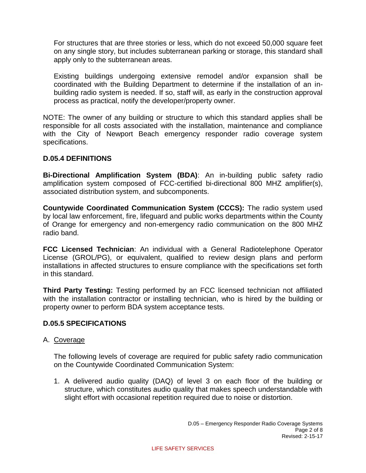For structures that are three stories or less, which do not exceed 50,000 square feet on any single story, but includes subterranean parking or storage, this standard shall apply only to the subterranean areas.

Existing buildings undergoing extensive remodel and/or expansion shall be coordinated with the Building Department to determine if the installation of an inbuilding radio system is needed. If so, staff will, as early in the construction approval process as practical, notify the developer/property owner.

NOTE: The owner of any building or structure to which this standard applies shall be responsible for all costs associated with the installation, maintenance and compliance with the City of Newport Beach emergency responder radio coverage system specifications.

# **D.05.4 DEFINITIONS**

**Bi-Directional Amplification System (BDA)**: An in-building public safety radio amplification system composed of FCC-certified bi-directional 800 MHZ amplifier(s), associated distribution system, and subcomponents.

**Countywide Coordinated Communication System (CCCS):** The radio system used by local law enforcement, fire, lifeguard and public works departments within the County of Orange for emergency and non-emergency radio communication on the 800 MHZ radio band.

**FCC Licensed Technician**: An individual with a General Radiotelephone Operator License (GROL/PG), or equivalent, qualified to review design plans and perform installations in affected structures to ensure compliance with the specifications set forth in this standard.

**Third Party Testing:** Testing performed by an FCC licensed technician not affiliated with the installation contractor or installing technician, who is hired by the building or property owner to perform BDA system acceptance tests.

# **D.05.5 SPECIFICATIONS**

# A. Coverage

The following levels of coverage are required for public safety radio communication on the Countywide Coordinated Communication System:

1. A delivered audio quality (DAQ) of level 3 on each floor of the building or structure, which constitutes audio quality that makes speech understandable with slight effort with occasional repetition required due to noise or distortion.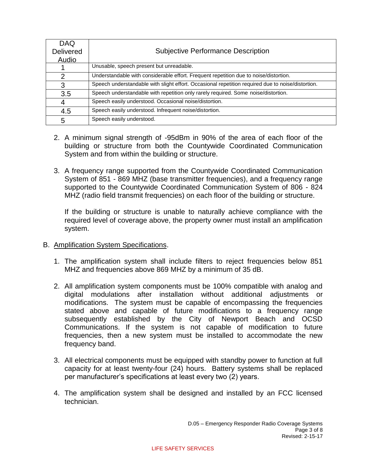| <b>DAQ</b>       |                                                                                                   |
|------------------|---------------------------------------------------------------------------------------------------|
| <b>Delivered</b> | <b>Subjective Performance Description</b>                                                         |
| Audio            |                                                                                                   |
|                  | Unusable, speech present but unreadable.                                                          |
| 2                | Understandable with considerable effort. Frequent repetition due to noise/distortion.             |
| 3                | Speech understandable with slight effort. Occasional repetition required due to noise/distortion. |
| 3.5              | Speech understandable with repetition only rarely required. Some noise/distortion.                |
| 4                | Speech easily understood. Occasional noise/distortion.                                            |
| 4.5              | Speech easily understood. Infrequent noise/distortion.                                            |
| 5                | Speech easily understood.                                                                         |

- 2. A minimum signal strength of -95dBm in 90% of the area of each floor of the building or structure from both the Countywide Coordinated Communication System and from within the building or structure.
- 3. A frequency range supported from the Countywide Coordinated Communication System of 851 - 869 MHZ (base transmitter frequencies), and a frequency range supported to the Countywide Coordinated Communication System of 806 - 824 MHZ (radio field transmit frequencies) on each floor of the building or structure.

If the building or structure is unable to naturally achieve compliance with the required level of coverage above, the property owner must install an amplification system.

- B. Amplification System Specifications.
	- 1. The amplification system shall include filters to reject frequencies below 851 MHZ and frequencies above 869 MHZ by a minimum of 35 dB.
	- 2. All amplification system components must be 100% compatible with analog and digital modulations after installation without additional adjustments or modifications. The system must be capable of encompassing the frequencies stated above and capable of future modifications to a frequency range subsequently established by the City of Newport Beach and OCSD Communications. If the system is not capable of modification to future frequencies, then a new system must be installed to accommodate the new frequency band.
	- 3. All electrical components must be equipped with standby power to function at full capacity for at least twenty-four (24) hours. Battery systems shall be replaced per manufacturer's specifications at least every two (2) years.
	- 4. The amplification system shall be designed and installed by an FCC licensed technician.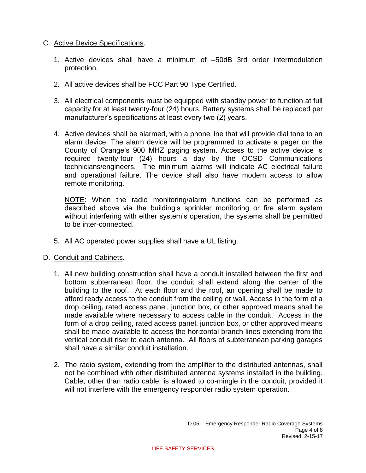#### C. Active Device Specifications.

- 1. Active devices shall have a minimum of –50dB 3rd order intermodulation protection.
- 2. All active devices shall be FCC Part 90 Type Certified.
- 3. All electrical components must be equipped with standby power to function at full capacity for at least twenty-four (24) hours. Battery systems shall be replaced per manufacturer's specifications at least every two (2) years.
- 4. Active devices shall be alarmed, with a phone line that will provide dial tone to an alarm device. The alarm device will be programmed to activate a pager on the County of Orange's 900 MHZ paging system. Access to the active device is required twenty-four (24) hours a day by the OCSD Communications technicians/engineers. The minimum alarms will indicate AC electrical failure and operational failure. The device shall also have modem access to allow remote monitoring.

NOTE: When the radio monitoring/alarm functions can be performed as described above via the building's sprinkler monitoring or fire alarm system without interfering with either system's operation, the systems shall be permitted to be inter-connected.

- 5. All AC operated power supplies shall have a UL listing.
- D. Conduit and Cabinets.
	- 1. All new building construction shall have a conduit installed between the first and bottom subterranean floor, the conduit shall extend along the center of the building to the roof. At each floor and the roof, an opening shall be made to afford ready access to the conduit from the ceiling or wall. Access in the form of a drop ceiling, rated access panel, junction box, or other approved means shall be made available where necessary to access cable in the conduit. Access in the form of a drop ceiling, rated access panel, junction box, or other approved means shall be made available to access the horizontal branch lines extending from the vertical conduit riser to each antenna. All floors of subterranean parking garages shall have a similar conduit installation.
	- 2. The radio system, extending from the amplifier to the distributed antennas, shall not be combined with other distributed antenna systems installed in the building. Cable, other than radio cable, is allowed to co-mingle in the conduit, provided it will not interfere with the emergency responder radio system operation.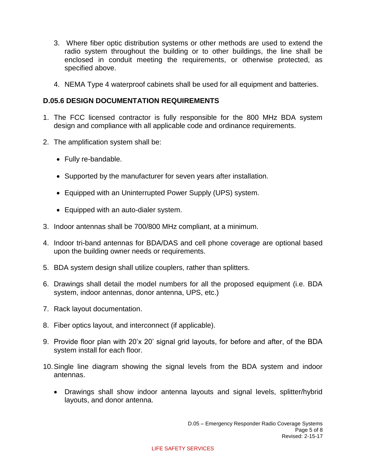- 3. Where fiber optic distribution systems or other methods are used to extend the radio system throughout the building or to other buildings, the line shall be enclosed in conduit meeting the requirements, or otherwise protected, as specified above.
- 4. NEMA Type 4 waterproof cabinets shall be used for all equipment and batteries.

# **D.05.6 DESIGN DOCUMENTATION REQUIREMENTS**

- 1. The FCC licensed contractor is fully responsible for the 800 MHz BDA system design and compliance with all applicable code and ordinance requirements.
- 2. The amplification system shall be:
	- Fully re-bandable.
	- Supported by the manufacturer for seven years after installation.
	- Equipped with an Uninterrupted Power Supply (UPS) system.
	- Equipped with an auto-dialer system.
- 3. Indoor antennas shall be 700/800 MHz compliant, at a minimum.
- 4. Indoor tri-band antennas for BDA/DAS and cell phone coverage are optional based upon the building owner needs or requirements.
- 5. BDA system design shall utilize couplers, rather than splitters.
- 6. Drawings shall detail the model numbers for all the proposed equipment (i.e. BDA system, indoor antennas, donor antenna, UPS, etc.)
- 7. Rack layout documentation.
- 8. Fiber optics layout, and interconnect (if applicable).
- 9. Provide floor plan with 20'x 20' signal grid layouts, for before and after, of the BDA system install for each floor.
- 10.Single line diagram showing the signal levels from the BDA system and indoor antennas.
	- Drawings shall show indoor antenna layouts and signal levels, splitter/hybrid layouts, and donor antenna.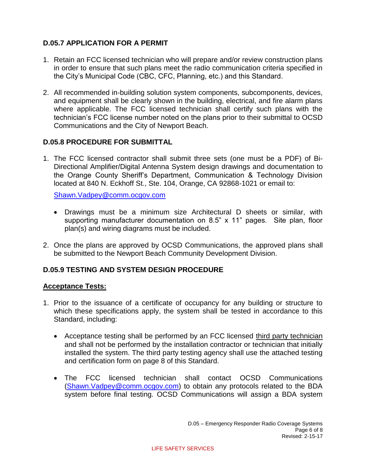# **D.05.7 APPLICATION FOR A PERMIT**

- 1. Retain an FCC licensed technician who will prepare and/or review construction plans in order to ensure that such plans meet the radio communication criteria specified in the City's Municipal Code (CBC, CFC, Planning, etc.) and this Standard.
- 2. All recommended in-building solution system components, subcomponents, devices, and equipment shall be clearly shown in the building, electrical, and fire alarm plans where applicable. The FCC licensed technician shall certify such plans with the technician's FCC license number noted on the plans prior to their submittal to OCSD Communications and the City of Newport Beach.

# **D.05.8 PROCEDURE FOR SUBMITTAL**

1. The FCC licensed contractor shall submit three sets (one must be a PDF) of Bi-Directional Amplifier/Digital Antenna System design drawings and documentation to the Orange County Sheriff's Department, Communication & Technology Division located at 840 N. Eckhoff St., Ste. 104, Orange, CA 92868-1021 or email to:

[Shawn.Vadpey@comm.ocgov.com](mailto:Shawn.Vadpey@comm.ocgov.com)

- Drawings must be a minimum size Architectural D sheets or similar, with supporting manufacturer documentation on 8.5" x 11" pages. Site plan, floor plan(s) and wiring diagrams must be included.
- 2. Once the plans are approved by OCSD Communications, the approved plans shall be submitted to the Newport Beach Community Development Division.

# **D.05.9 TESTING AND SYSTEM DESIGN PROCEDURE**

# **Acceptance Tests:**

- 1. Prior to the issuance of a certificate of occupancy for any building or structure to which these specifications apply, the system shall be tested in accordance to this Standard, including:
	- Acceptance testing shall be performed by an FCC licensed third party technician and shall not be performed by the installation contractor or technician that initially installed the system. The third party testing agency shall use the attached testing and certification form on page 8 of this Standard.
	- The FCC licensed technician shall contact OCSD Communications [\(Shawn.Vadpey@comm.ocgov.com\)](mailto:Shawn.Vadpey@comm.ocgov.com) to obtain any protocols related to the BDA system before final testing. OCSD Communications will assign a BDA system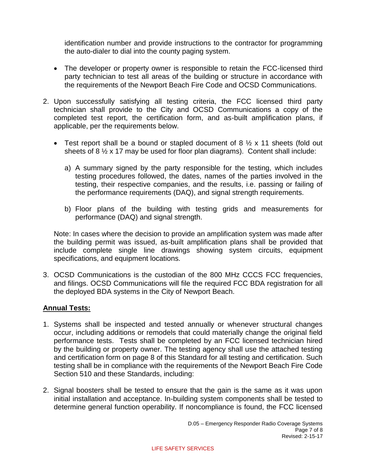identification number and provide instructions to the contractor for programming the auto-dialer to dial into the county paging system.

- The developer or property owner is responsible to retain the FCC-licensed third party technician to test all areas of the building or structure in accordance with the requirements of the Newport Beach Fire Code and OCSD Communications.
- 2. Upon successfully satisfying all testing criteria, the FCC licensed third party technician shall provide to the City and OCSD Communications a copy of the completed test report, the certification form, and as-built amplification plans, if applicable, per the requirements below.
	- Test report shall be a bound or stapled document of 8  $\frac{1}{2}$  x 11 sheets (fold out sheets of 8  $\frac{1}{2}$  x 17 may be used for floor plan diagrams). Content shall include:
		- a) A summary signed by the party responsible for the testing, which includes testing procedures followed, the dates, names of the parties involved in the testing, their respective companies, and the results, i.e. passing or failing of the performance requirements (DAQ), and signal strength requirements.
		- b) Floor plans of the building with testing grids and measurements for performance (DAQ) and signal strength.

Note: In cases where the decision to provide an amplification system was made after the building permit was issued, as-built amplification plans shall be provided that include complete single line drawings showing system circuits, equipment specifications, and equipment locations.

3. OCSD Communications is the custodian of the 800 MHz CCCS FCC frequencies, and filings. OCSD Communications will file the required FCC BDA registration for all the deployed BDA systems in the City of Newport Beach.

# **Annual Tests:**

- 1. Systems shall be inspected and tested annually or whenever structural changes occur, including additions or remodels that could materially change the original field performance tests. Tests shall be completed by an FCC licensed technician hired by the building or property owner. The testing agency shall use the attached testing and certification form on page 8 of this Standard for all testing and certification. Such testing shall be in compliance with the requirements of the Newport Beach Fire Code Section 510 and these Standards, including:
- 2. Signal boosters shall be tested to ensure that the gain is the same as it was upon initial installation and acceptance. In-building system components shall be tested to determine general function operability. If noncompliance is found, the FCC licensed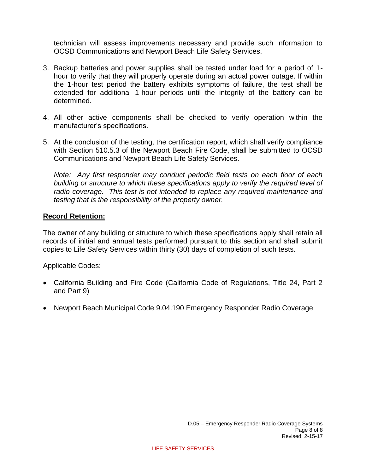technician will assess improvements necessary and provide such information to OCSD Communications and Newport Beach Life Safety Services.

- 3. Backup batteries and power supplies shall be tested under load for a period of 1 hour to verify that they will properly operate during an actual power outage. If within the 1-hour test period the battery exhibits symptoms of failure, the test shall be extended for additional 1-hour periods until the integrity of the battery can be determined.
- 4. All other active components shall be checked to verify operation within the manufacturer's specifications.
- 5. At the conclusion of the testing, the certification report, which shall verify compliance with Section 510.5.3 of the Newport Beach Fire Code, shall be submitted to OCSD Communications and Newport Beach Life Safety Services.

*Note: Any first responder may conduct periodic field tests on each floor of each building or structure to which these specifications apply to verify the required level of radio coverage. This test is not intended to replace any required maintenance and testing that is the responsibility of the property owner.*

# **Record Retention:**

The owner of any building or structure to which these specifications apply shall retain all records of initial and annual tests performed pursuant to this section and shall submit copies to Life Safety Services within thirty (30) days of completion of such tests.

Applicable Codes:

- California Building and Fire Code (California Code of Regulations, Title 24, Part 2 and Part 9)
- Newport Beach Municipal Code 9.04.190 Emergency Responder Radio Coverage